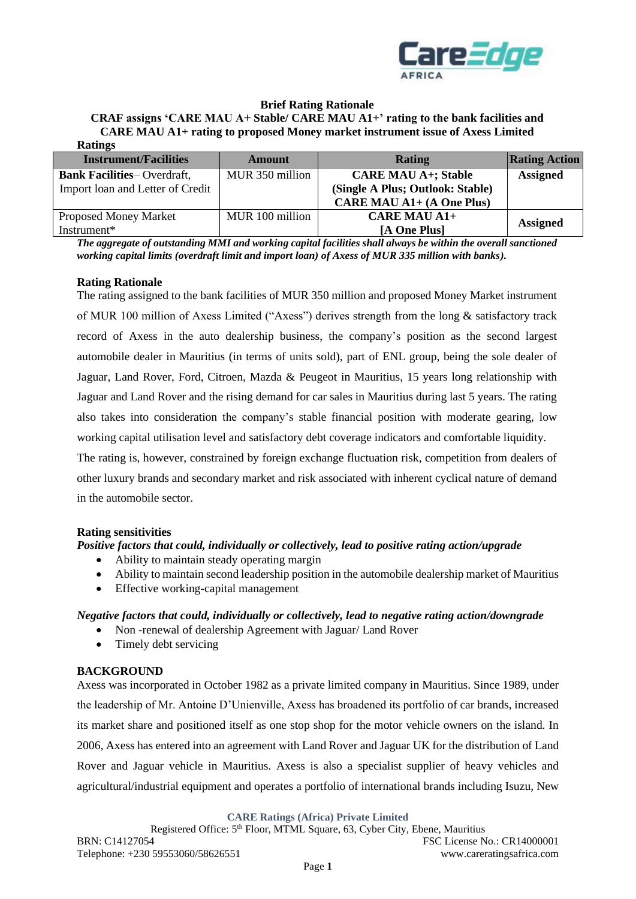

### **Brief Rating Rationale**

**CRAF assigns 'CARE MAU A+ Stable/ CARE MAU A1+' rating to the bank facilities and CARE MAU A1+ rating to proposed Money market instrument issue of Axess Limited Ratings**

| RAULLES                           |                 |                                  |                      |
|-----------------------------------|-----------------|----------------------------------|----------------------|
| <b>Instrument/Facilities</b>      | Amount          | Rating                           | <b>Rating Action</b> |
| <b>Bank Facilities-Overdraft,</b> | MUR 350 million | <b>CARE MAU A+; Stable</b>       | <b>Assigned</b>      |
| Import loan and Letter of Credit  |                 | (Single A Plus; Outlook: Stable) |                      |
|                                   |                 | <b>CARE MAU A1+ (A One Plus)</b> |                      |
| <b>Proposed Money Market</b>      | MUR 100 million | $CARE$ MAU A1+                   | <b>Assigned</b>      |
| Instrument*                       |                 | [A One Plus]                     |                      |

*The aggregate of outstanding MMI and working capital facilities shall always be within the overall sanctioned working capital limits (overdraft limit and import loan) of Axess of MUR 335 million with banks).*

### **Rating Rationale**

The rating assigned to the bank facilities of MUR 350 million and proposed Money Market instrument of MUR 100 million of Axess Limited ("Axess") derives strength from the long & satisfactory track record of Axess in the auto dealership business, the company's position as the second largest automobile dealer in Mauritius (in terms of units sold), part of ENL group, being the sole dealer of Jaguar, Land Rover, Ford, Citroen, Mazda & Peugeot in Mauritius, 15 years long relationship with Jaguar and Land Rover and the rising demand for car sales in Mauritius during last 5 years. The rating also takes into consideration the company's stable financial position with moderate gearing, low working capital utilisation level and satisfactory debt coverage indicators and comfortable liquidity.

The rating is, however, constrained by foreign exchange fluctuation risk, competition from dealers of other luxury brands and secondary market and risk associated with inherent cyclical nature of demand in the automobile sector.

### **Rating sensitivities**

*Positive factors that could, individually or collectively, lead to positive rating action/upgrade* 

- Ability to maintain steady operating margin
- Ability to maintain second leadership position in the automobile dealership market of Mauritius
- Effective working-capital management

### *Negative factors that could, individually or collectively, lead to negative rating action/downgrade*

- Non -renewal of dealership Agreement with Jaguar/ Land Rover
- Timely debt servicing

### **BACKGROUND**

Axess was incorporated in October 1982 as a private limited company in Mauritius. Since 1989, under the leadership of Mr. Antoine D'Unienville, Axess has broadened its portfolio of car brands, increased its market share and positioned itself as one stop shop for the motor vehicle owners on the island. In 2006, Axess has entered into an agreement with Land Rover and Jaguar UK for the distribution of Land Rover and Jaguar vehicle in Mauritius. Axess is also a specialist supplier of heavy vehicles and agricultural/industrial equipment and operates a portfolio of international brands including Isuzu, New

**CARE Ratings (Africa) Private Limited**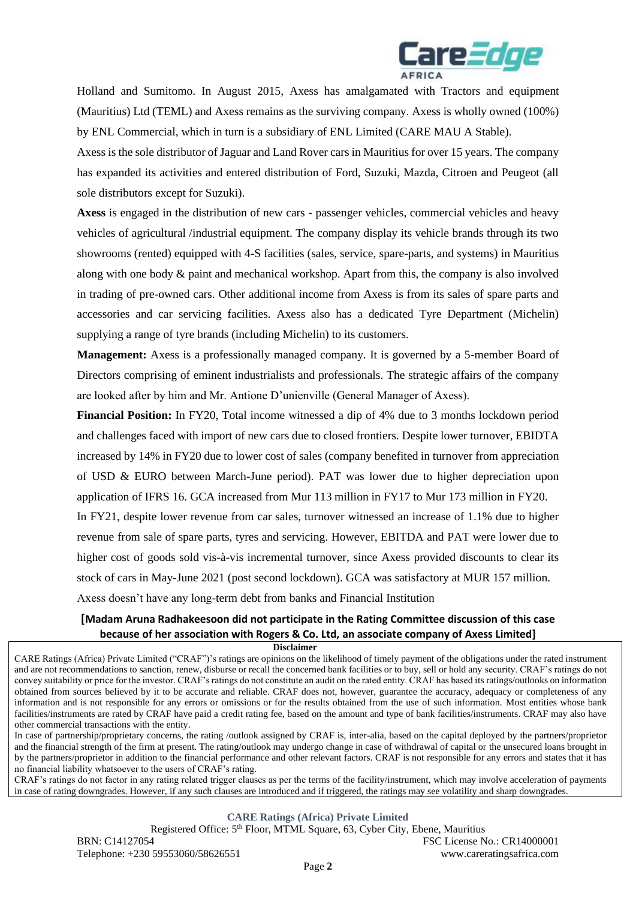

Holland and Sumitomo. In August 2015, Axess has amalgamated with Tractors and equipment (Mauritius) Ltd (TEML) and Axess remains as the surviving company. Axess is wholly owned (100%) by ENL Commercial, which in turn is a subsidiary of ENL Limited (CARE MAU A Stable).

Axess is the sole distributor of Jaguar and Land Rover cars in Mauritius for over 15 years. The company has expanded its activities and entered distribution of Ford, Suzuki, Mazda, Citroen and Peugeot (all sole distributors except for Suzuki).

**Axess** is engaged in the distribution of new cars - passenger vehicles, commercial vehicles and heavy vehicles of agricultural /industrial equipment. The company display its vehicle brands through its two showrooms (rented) equipped with 4-S facilities (sales, service, spare-parts, and systems) in Mauritius along with one body & paint and mechanical workshop. Apart from this, the company is also involved in trading of pre-owned cars. Other additional income from Axess is from its sales of spare parts and accessories and car servicing facilities. Axess also has a dedicated Tyre Department (Michelin) supplying a range of tyre brands (including Michelin) to its customers.

**Management:** Axess is a professionally managed company. It is governed by a 5-member Board of Directors comprising of eminent industrialists and professionals. The strategic affairs of the company are looked after by him and Mr. Antione D'unienville (General Manager of Axess).

**Financial Position:** In FY20, Total income witnessed a dip of 4% due to 3 months lockdown period and challenges faced with import of new cars due to closed frontiers. Despite lower turnover, EBIDTA increased by 14% in FY20 due to lower cost of sales (company benefited in turnover from appreciation of USD & EURO between March-June period). PAT was lower due to higher depreciation upon application of IFRS 16. GCA increased from Mur 113 million in FY17 to Mur 173 million in FY20.

In FY21, despite lower revenue from car sales, turnover witnessed an increase of 1.1% due to higher revenue from sale of spare parts, tyres and servicing. However, EBITDA and PAT were lower due to higher cost of goods sold vis-à-vis incremental turnover, since Axess provided discounts to clear its stock of cars in May-June 2021 (post second lockdown). GCA was satisfactory at MUR 157 million.

Axess doesn't have any long-term debt from banks and Financial Institution

# **[Madam Aruna Radhakeesoon did not participate in the Rating Committee discussion of this case because of her association with Rogers & Co. Ltd, an associate company of Axess Limited]**

 **Disclaimer**

CARE Ratings (Africa) Private Limited ("CRAF")'s ratings are opinions on the likelihood of timely payment of the obligations under the rated instrument and are not recommendations to sanction, renew, disburse or recall the concerned bank facilities or to buy, sell or hold any security. CRAF's ratings do not convey suitability or price for the investor. CRAF's ratings do not constitute an audit on the rated entity. CRAF has based its ratings/outlooks on information obtained from sources believed by it to be accurate and reliable. CRAF does not, however, guarantee the accuracy, adequacy or completeness of any information and is not responsible for any errors or omissions or for the results obtained from the use of such information. Most entities whose bank facilities/instruments are rated by CRAF have paid a credit rating fee, based on the amount and type of bank facilities/instruments. CRAF may also have other commercial transactions with the entity.

In case of partnership/proprietary concerns, the rating /outlook assigned by CRAF is, inter-alia, based on the capital deployed by the partners/proprietor and the financial strength of the firm at present. The rating/outlook may undergo change in case of withdrawal of capital or the unsecured loans brought in by the partners/proprietor in addition to the financial performance and other relevant factors. CRAF is not responsible for any errors and states that it has no financial liability whatsoever to the users of CRAF's rating.

CRAF's ratings do not factor in any rating related trigger clauses as per the terms of the facility/instrument, which may involve acceleration of payments in case of rating downgrades. However, if any such clauses are introduced and if triggered, the ratings may see volatility and sharp downgrades.

#### **CARE Ratings (Africa) Private Limited**

Registered Office: 5<sup>th</sup> Floor, MTML Square, 63, Cyber City, Ebene, Mauritius BRN: C14127054 FSC License No.: CR14000001 Telephone: +230 59553060/58626551 www.careratingsafrica.com